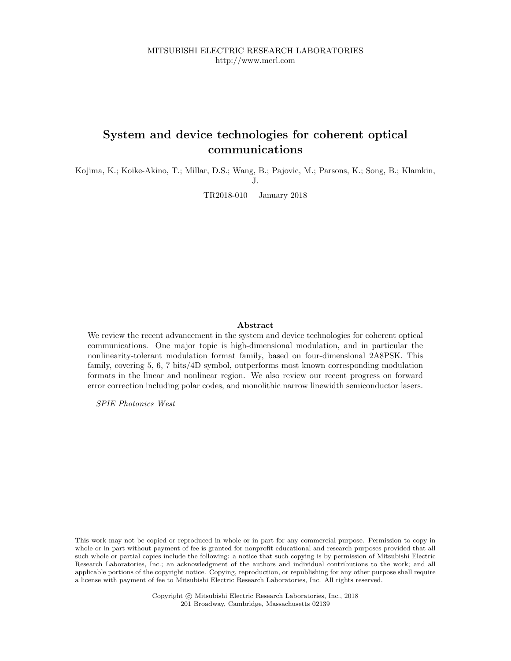MITSUBISHI ELECTRIC RESEARCH LABORATORIES http://www.merl.com

## System and device technologies for coherent optical communications

Kojima, K.; Koike-Akino, T.; Millar, D.S.; Wang, B.; Pajovic, M.; Parsons, K.; Song, B.; Klamkin, J.

TR2018-010 January 2018

## Abstract

We review the recent advancement in the system and device technologies for coherent optical communications. One major topic is high-dimensional modulation, and in particular the nonlinearity-tolerant modulation format family, based on four-dimensional 2A8PSK. This family, covering 5, 6, 7 bits/4D symbol, outperforms most known corresponding modulation formats in the linear and nonlinear region. We also review our recent progress on forward error correction including polar codes, and monolithic narrow linewidth semiconductor lasers.

SPIE Photonics West

This work may not be copied or reproduced in whole or in part for any commercial purpose. Permission to copy in whole or in part without payment of fee is granted for nonprofit educational and research purposes provided that all such whole or partial copies include the following: a notice that such copying is by permission of Mitsubishi Electric Research Laboratories, Inc.; an acknowledgment of the authors and individual contributions to the work; and all applicable portions of the copyright notice. Copying, reproduction, or republishing for any other purpose shall require a license with payment of fee to Mitsubishi Electric Research Laboratories, Inc. All rights reserved.

> Copyright © Mitsubishi Electric Research Laboratories, Inc., 2018 201 Broadway, Cambridge, Massachusetts 02139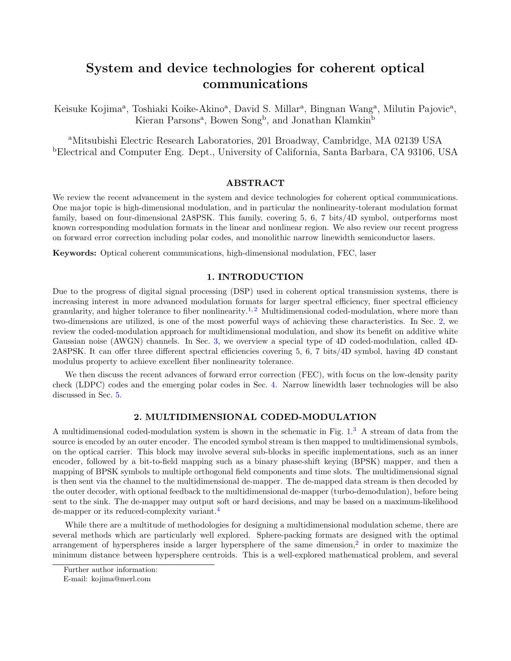# System and device technologies for coherent optical communications

Keisuke Kojima<sup>a</sup>, Toshiaki Koike-Akino<sup>a</sup>, David S. Millar<sup>a</sup>, Bingnan Wang<sup>a</sup>, Milutin Pajovic<sup>a</sup>, Kieran Parsons<sup>a</sup>, Bowen Song<sup>b</sup>, and Jonathan Klamkin<sup>b</sup>

<sup>a</sup>Mitsubishi Electric Research Laboratories, 201 Broadway, Cambridge, MA 02139 USA <sup>b</sup>Electrical and Computer Eng. Dept., University of California, Santa Barbara, CA 93106, USA

## ABSTRACT

We review the recent advancement in the system and device technologies for coherent optical communications. One major topic is high-dimensional modulation, and in particular the nonlinearity-tolerant modulation format family, based on four-dimensional 2A8PSK. This family, covering 5, 6, 7 bits/4D symbol, outperforms most known corresponding modulation formats in the linear and nonlinear region. We also review our recent progress on forward error correction including polar codes, and monolithic narrow linewidth semiconductor lasers.

Keywords: Optical coherent communications, high-dimensional modulation, FEC, laser

## 1. INTRODUCTION

Due to the progress of digital signal processing (DSP) used in coherent optical transmission systems, there is increasing interest in more advanced modulation formats for larger spectral efficiency, finer spectral efficiency granularity, and higher tolerance to fiber nonlinearity.<sup>1,2</sup> Multidimensional coded-modulation, where more than two-dimensions are utilized, is one of the most powerful ways of achieving these characteristics. In Sec. 2, we review the coded-modulation approach for multidimensional modulation, and show its benefit on additive white Gaussian noise (AWGN) channels. In Sec. 3, we overview a special type of 4D coded-modulation, called 4D-2A8PSK. It can offer three different spectral efficiencies covering 5, 6, 7 bits/4D symbol, having 4D constant modulus property to achieve excellent fiber nonlinearity tolerance.

We then discuss the recent advances of forward error correction (FEC), with focus on the low-density parity check (LDPC) codes and the emerging polar codes in Sec. 4. Narrow linewidth laser technologies will be also discussed in Sec. 5.

#### 2. MULTIDIMENSIONAL CODED-MODULATION

A multidimensional coded-modulation system is shown in the schematic in Fig. 1. <sup>3</sup> A stream of data from the source is encoded by an outer encoder. The encoded symbol stream is then mapped to multidimensional symbols, on the optical carrier. This block may involve several sub-blocks in specific implementations, such as an inner encoder, followed by a bit-to-field mapping such as a binary phase-shift keying (BPSK) mapper, and then a mapping of BPSK symbols to multiple orthogonal field components and time slots. The multidimensional signal is then sent via the channel to the multidimensional de-mapper. The de-mapped data stream is then decoded by the outer decoder, with optional feedback to the multidimensional de-mapper (turbo-demodulation), before being sent to the sink. The de-mapper may output soft or hard decisions, and may be based on a maximum-likelihood de-mapper or its reduced-complexity variant.<sup>4</sup>

While there are a multitude of methodologies for designing a multidimensional modulation scheme, there are several methods which are particularly well explored. Sphere-packing formats are designed with the optimal arrangement of hyperspheres inside a larger hypersphere of the same dimension,<sup>2</sup> in order to maximize the minimum distance between hypersphere centroids. This is a well-explored mathematical problem, and several

Further author information:

E-mail: kojima@merl.com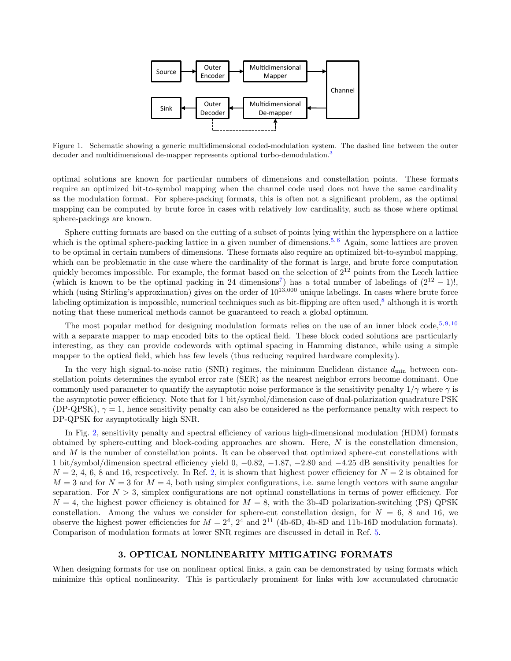

Figure 1. Schematic showing a generic multidimensional coded-modulation system. The dashed line between the outer decoder and multidimensional de-mapper represents optional turbo-demodulation.<sup>3</sup>

optimal solutions are known for particular numbers of dimensions and constellation points. These formats require an optimized bit-to-symbol mapping when the channel code used does not have the same cardinality as the modulation format. For sphere-packing formats, this is often not a significant problem, as the optimal mapping can be computed by brute force in cases with relatively low cardinality, such as those where optimal sphere-packings are known.

Sphere cutting formats are based on the cutting of a subset of points lying within the hypersphere on a lattice which is the optimal sphere-packing lattice in a given number of dimensions.<sup>5,6</sup> Again, some lattices are proven to be optimal in certain numbers of dimensions. These formats also require an optimized bit-to-symbol mapping, which can be problematic in the case where the cardinality of the format is large, and brute force computation quickly becomes impossible. For example, the format based on the selection of  $2^{12}$  points from the Leech lattice (which is known to be the optimal packing in 24 dimensions<sup>7</sup>) has a total number of labelings of  $(2^{12} – 1)!$ , which (using Stirling's approximation) gives on the order of  $10^{13,000}$  unique labelings. In cases where brute force labeling optimization is impossible, numerical techniques such as bit-flipping are often used, $8$  although it is worth noting that these numerical methods cannot be guaranteed to reach a global optimum.

The most popular method for designing modulation formats relies on the use of an inner block code,  $5,9,10$ with a separate mapper to map encoded bits to the optical field. These block coded solutions are particularly interesting, as they can provide codewords with optimal spacing in Hamming distance, while using a simple mapper to the optical field, which has few levels (thus reducing required hardware complexity).

In the very high signal-to-noise ratio (SNR) regimes, the minimum Euclidean distance  $d_{\min}$  between constellation points determines the symbol error rate (SER) as the nearest neighbor errors become dominant. One commonly used parameter to quantify the asymptotic noise performance is the sensitivity penalty  $1/\gamma$  where  $\gamma$  is the asymptotic power efficiency. Note that for 1 bit/symbol/dimension case of dual-polarization quadrature PSK (DP-QPSK),  $\gamma = 1$ , hence sensitivity penalty can also be considered as the performance penalty with respect to DP-QPSK for asymptotically high SNR.

In Fig. 2, sensitivity penalty and spectral efficiency of various high-dimensional modulation (HDM) formats obtained by sphere-cutting and block-coding approaches are shown. Here,  $N$  is the constellation dimension, and  $M$  is the number of constellation points. It can be observed that optimized sphere-cut constellations with 1 bit/symbol/dimension spectral efficiency yield 0, −0.82, −1.87, −2.80 and −4.25 dB sensitivity penalties for  $N = 2, 4, 6, 8$  and 16, respectively. In Ref. 2, it is shown that highest power efficiency for  $N = 2$  is obtained for  $M = 3$  and for  $N = 3$  for  $M = 4$ , both using simplex configurations, i.e. same length vectors with same angular separation. For  $N > 3$ , simplex configurations are not optimal constellations in terms of power efficiency. For  $N = 4$ , the highest power efficiency is obtained for  $M = 8$ , with the 3b-4D polarization-switching (PS) QPSK constellation. Among the values we consider for sphere-cut constellation design, for  $N = 6$ , 8 and 16, we observe the highest power efficiencies for  $M = 2^4$ ,  $2^4$  and  $2^{11}$  (4b-6D, 4b-8D and 11b-16D modulation formats). Comparison of modulation formats at lower SNR regimes are discussed in detail in Ref. 5.

#### 3. OPTICAL NONLINEARITY MITIGATING FORMATS

When designing formats for use on nonlinear optical links, a gain can be demonstrated by using formats which minimize this optical nonlinearity. This is particularly prominent for links with low accumulated chromatic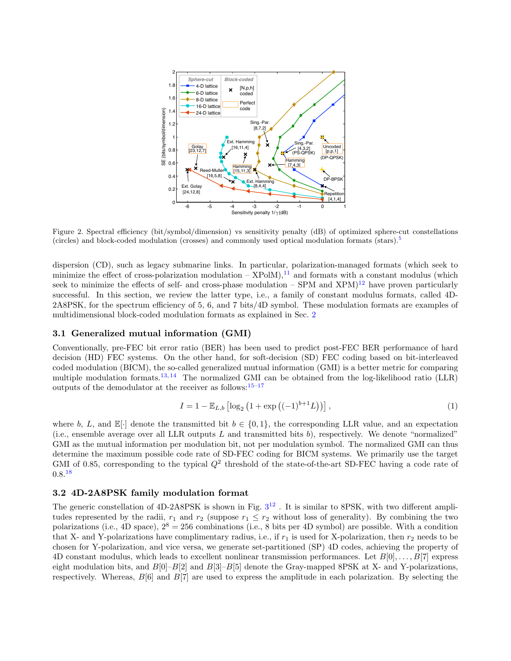

Figure 2. Spectral efficiency (bit/symbol/dimension) vs sensitivity penalty (dB) of optimized sphere-cut constellations (circles) and block-coded modulation (crosses) and commonly used optical modulation formats (stars).<sup>5</sup>

dispersion (CD), such as legacy submarine links. In particular, polarization-managed formats (which seek to minimize the effect of cross-polarization modulation –  $XPolM$ ),<sup>11</sup> and formats with a constant modulus (which seek to minimize the effects of self- and cross-phase modulation – SPM and  $XPM$ <sup>12</sup> have proven particularly successful. In this section, we review the latter type, i.e., a family of constant modulus formats, called 4D-2A8PSK, for the spectrum efficiency of 5, 6, and 7 bits/4D symbol. These modulation formats are examples of multidimensional block-coded modulation formats as explained in Sec. 2

#### 3.1 Generalized mutual information (GMI)

Conventionally, pre-FEC bit error ratio (BER) has been used to predict post-FEC BER performance of hard decision (HD) FEC systems. On the other hand, for soft-decision (SD) FEC coding based on bit-interleaved coded modulation (BICM), the so-called generalized mutual information (GMI) is a better metric for comparing multiple modulation formats.<sup>13, 14</sup> The normalized GMI can be obtained from the log-likelihood ratio (LLR) outputs of the demodulator at the receiver as follows:  $15-17$ 

$$
I = 1 - \mathbb{E}_{L,b} \left[ \log_2 \left( 1 + \exp \left( (-1)^{b+1} L \right) \right) \right],\tag{1}
$$

where b, L, and  $\mathbb{E}[\cdot]$  denote the transmitted bit  $b \in \{0,1\}$ , the corresponding LLR value, and an expectation (i.e., ensemble average over all LLR outputs  $L$  and transmitted bits  $b$ ), respectively. We denote "normalized" GMI as the mutual information per modulation bit, not per modulation symbol. The normalized GMI can thus determine the maximum possible code rate of SD-FEC coding for BICM systems. We primarily use the target GMI of 0.85, corresponding to the typical  $Q^2$  threshold of the state-of-the-art SD-FEC having a code rate of  $0.8^{18}$ 

#### 3.2 4D-2A8PSK family modulation format

The generic constellation of  $4D-2A8PSK$  is shown in Fig.  $3^{12}$ . It is similar to  $8PSK$ , with two different amplitudes represented by the radii,  $r_1$  and  $r_2$  (suppose  $r_1 \leq r_2$  without loss of generality). By combining the two polarizations (i.e., 4D space),  $2^8 = 256$  combinations (i.e., 8 bits per 4D symbol) are possible. With a condition that X- and Y-polarizations have complimentary radius, i.e., if  $r_1$  is used for X-polarization, then  $r_2$  needs to be chosen for Y-polarization, and vice versa, we generate set-partitioned (SP) 4D codes, achieving the property of 4D constant modulus, which leads to excellent nonlinear transmission performances. Let  $B[0], \ldots, B[7]$  express eight modulation bits, and  $B[0]-B[2]$  and  $B[3]-B[5]$  denote the Gray-mapped 8PSK at X- and Y-polarizations, respectively. Whereas,  $B[6]$  and  $B[7]$  are used to express the amplitude in each polarization. By selecting the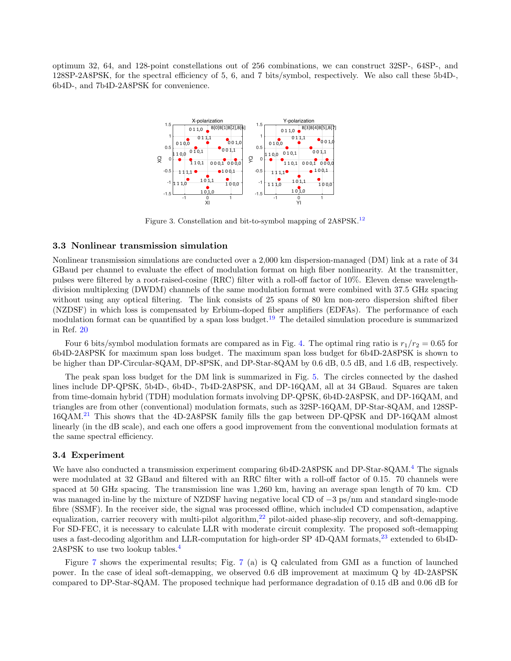optimum 32, 64, and 128-point constellations out of 256 combinations, we can construct 32SP-, 64SP-, and 128SP-2A8PSK, for the spectral efficiency of 5, 6, and 7 bits/symbol, respectively. We also call these 5b4D-, 6b4D-, and 7b4D-2A8PSK for convenience.



Figure 3. Constellation and bit-to-symbol mapping of 2A8PSK.<sup>12</sup>

#### 3.3 Nonlinear transmission simulation

Nonlinear transmission simulations are conducted over a 2,000 km dispersion-managed (DM) link at a rate of 34 GBaud per channel to evaluate the effect of modulation format on high fiber nonlinearity. At the transmitter, pulses were filtered by a root-raised-cosine (RRC) filter with a roll-off factor of 10%. Eleven dense wavelengthdivision multiplexing (DWDM) channels of the same modulation format were combined with 37.5 GHz spacing without using any optical filtering. The link consists of 25 spans of 80 km non-zero dispersion shifted fiber (NZDSF) in which loss is compensated by Erbium-doped fiber amplifiers (EDFAs). The performance of each modulation format can be quantified by a span loss budget.<sup>19</sup> The detailed simulation procedure is summarized in Ref. 20

Four 6 bits/symbol modulation formats are compared as in Fig. 4. The optimal ring ratio is  $r_1/r_2 = 0.65$  for 6b4D-2A8PSK for maximum span loss budget. The maximum span loss budget for 6b4D-2A8PSK is shown to be higher than DP-Circular-8QAM, DP-8PSK, and DP-Star-8QAM by 0.6 dB, 0.5 dB, and 1.6 dB, respectively.

The peak span loss budget for the DM link is summarized in Fig. 5. The circles connected by the dashed lines include DP-QPSK, 5b4D-, 6b4D-, 7b4D-2A8PSK, and DP-16QAM, all at 34 GBaud. Squares are taken from time-domain hybrid (TDH) modulation formats involving DP-QPSK, 6b4D-2A8PSK, and DP-16QAM, and triangles are from other (conventional) modulation formats, such as 32SP-16QAM, DP-Star-8QAM, and 128SP-16QAM.<sup>21</sup> This shows that the 4D-2A8PSK family fills the gap between DP-QPSK and DP-16QAM almost linearly (in the dB scale), and each one offers a good improvement from the conventional modulation formats at the same spectral efficiency.

#### 3.4 Experiment

We have also conducted a transmission experiment comparing 6b4D-2A8PSK and DP-Star-8QAM.<sup>4</sup> The signals were modulated at 32 GBaud and filtered with an RRC filter with a roll-off factor of 0.15. 70 channels were spaced at 50 GHz spacing. The transmission line was 1,260 km, having an average span length of 70 km. CD was managed in-line by the mixture of NZDSF having negative local CD of −3 ps/nm and standard single-mode fibre (SSMF). In the receiver side, the signal was processed offline, which included CD compensation, adaptive equalization, carrier recovery with multi-pilot algorithm,<sup>22</sup> pilot-aided phase-slip recovery, and soft-demapping. For SD-FEC, it is necessary to calculate LLR with moderate circuit complexity. The proposed soft-demapping uses a fast-decoding algorithm and LLR-computation for high-order SP 4D-QAM formats,<sup>23</sup> extended to 6b4D-2A8PSK to use two lookup tables.<sup>4</sup>

Figure 7 shows the experimental results; Fig. 7 (a) is Q calculated from GMI as a function of launched power. In the case of ideal soft-demapping, we observed 0.6 dB improvement at maximum Q by 4D-2A8PSK compared to DP-Star-8QAM. The proposed technique had performance degradation of 0.15 dB and 0.06 dB for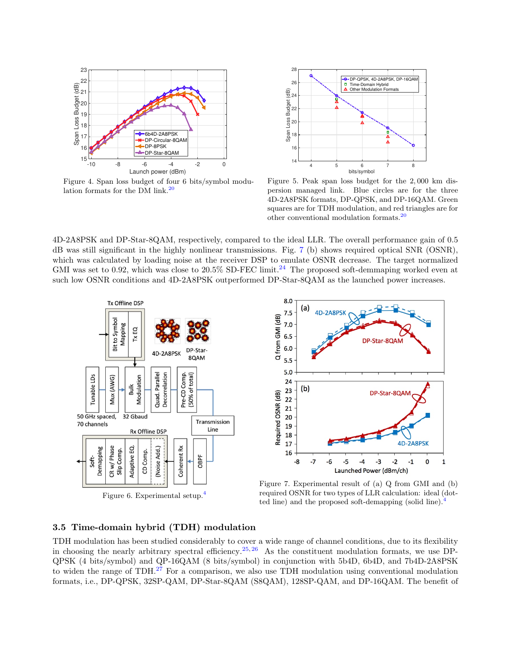

Figure 4. Span loss budget of four 6 bits/symbol modulation formats for the DM link. $^{20}$ 



Figure 5. Peak span loss budget for the 2, 000 km dispersion managed link. Blue circles are for the three 4D-2A8PSK formats, DP-QPSK, and DP-16QAM. Green squares are for TDH modulation, and red triangles are for other conventional modulation formats.<sup>20</sup>

4D-2A8PSK and DP-Star-8QAM, respectively, compared to the ideal LLR. The overall performance gain of 0.5 dB was still significant in the highly nonlinear transmissions. Fig. 7 (b) shows required optical SNR (OSNR), which was calculated by loading noise at the receiver DSP to emulate OSNR decrease. The target normalized GMI was set to 0.92, which was close to  $20.5\%$  SD-FEC limit.<sup>24</sup> The proposed soft-demmaping worked even at such low OSNR conditions and 4D-2A8PSK outperformed DP-Star-8QAM as the launched power increases.



Figure 6. Experimental setup.<sup>4</sup>



Figure 7. Experimental result of (a) Q from GMI and (b) required OSNR for two types of LLR calculation: ideal (dotted line) and the proposed soft-demapping (solid line).<sup>4</sup>

## 3.5 Time-domain hybrid (TDH) modulation

TDH modulation has been studied considerably to cover a wide range of channel conditions, due to its flexibility in choosing the nearly arbitrary spectral efficiency.<sup>25, 26</sup> As the constituent modulation formats, we use DP-QPSK (4 bits/symbol) and QP-16QAM (8 bits/symbol) in conjunction with 5b4D, 6b4D, and 7b4D-2A8PSK to widen the range of TDH.<sup>27</sup> For a comparison, we also use TDH modulation using conventional modulation formats, i.e., DP-QPSK, 32SP-QAM, DP-Star-8QAM (S8QAM), 128SP-QAM, and DP-16QAM. The benefit of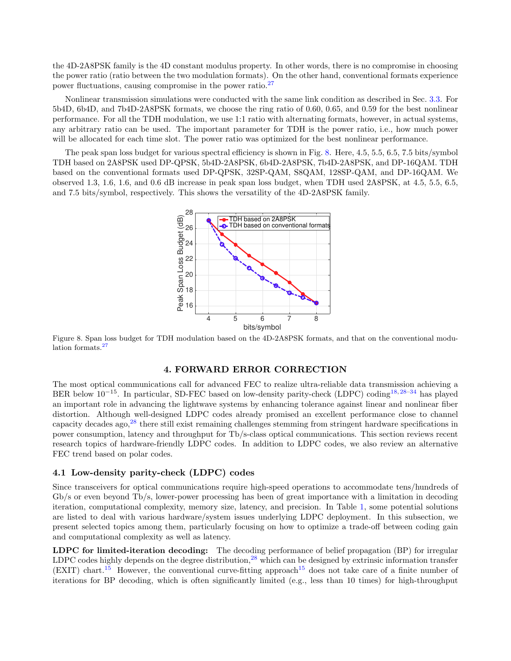the 4D-2A8PSK family is the 4D constant modulus property. In other words, there is no compromise in choosing the power ratio (ratio between the two modulation formats). On the other hand, conventional formats experience power fluctuations, causing compromise in the power ratio.<sup>27</sup>

Nonlinear transmission simulations were conducted with the same link condition as described in Sec. 3.3. For 5b4D, 6b4D, and 7b4D-2A8PSK formats, we choose the ring ratio of 0.60, 0.65, and 0.59 for the best nonlinear performance. For all the TDH modulation, we use 1:1 ratio with alternating formats, however, in actual systems, any arbitrary ratio can be used. The important parameter for TDH is the power ratio, i.e., how much power will be allocated for each time slot. The power ratio was optimized for the best nonlinear performance.

The peak span loss budget for various spectral efficiency is shown in Fig. 8. Here, 4.5, 5.5, 6.5, 7.5 bits/symbol TDH based on 2A8PSK used DP-QPSK, 5b4D-2A8PSK, 6b4D-2A8PSK, 7b4D-2A8PSK, and DP-16QAM. TDH based on the conventional formats used DP-QPSK, 32SP-QAM, S8QAM, 128SP-QAM, and DP-16QAM. We observed 1.3, 1.6, 1.6, and 0.6 dB increase in peak span loss budget, when TDH used 2A8PSK, at 4.5, 5.5, 6.5, and 7.5 bits/symbol, respectively. This shows the versatility of the 4D-2A8PSK family.



Figure 8. Span loss budget for TDH modulation based on the 4D-2A8PSK formats, and that on the conventional modulation formats.<sup>27</sup>

## 4. FORWARD ERROR CORRECTION

The most optical communications call for advanced FEC to realize ultra-reliable data transmission achieving a BER below 10<sup>−15</sup>. In particular, SD-FEC based on low-density parity-check (LDPC) coding<sup>18,28–34</sup> has played an important role in advancing the lightwave systems by enhancing tolerance against linear and nonlinear fiber distortion. Although well-designed LDPC codes already promised an excellent performance close to channel capacity decades ago,<sup>28</sup> there still exist remaining challenges stemming from stringent hardware specifications in power consumption, latency and throughput for Tb/s-class optical communications. This section reviews recent research topics of hardware-friendly LDPC codes. In addition to LDPC codes, we also review an alternative FEC trend based on polar codes.

## 4.1 Low-density parity-check (LDPC) codes

Since transceivers for optical communications require high-speed operations to accommodate tens/hundreds of Gb/s or even beyond Tb/s, lower-power processing has been of great importance with a limitation in decoding iteration, computational complexity, memory size, latency, and precision. In Table 1, some potential solutions are listed to deal with various hardware/system issues underlying LDPC deployment. In this subsection, we present selected topics among them, particularly focusing on how to optimize a trade-off between coding gain and computational complexity as well as latency.

LDPC for limited-iteration decoding: The decoding performance of belief propagation (BP) for irregular LDPC codes highly depends on the degree distribution, $^{28}$  which can be designed by extrinsic information transfer (EXIT) chart.<sup>15</sup> However, the conventional curve-fitting approach<sup>15</sup> does not take care of a finite number of iterations for BP decoding, which is often significantly limited (e.g., less than 10 times) for high-throughput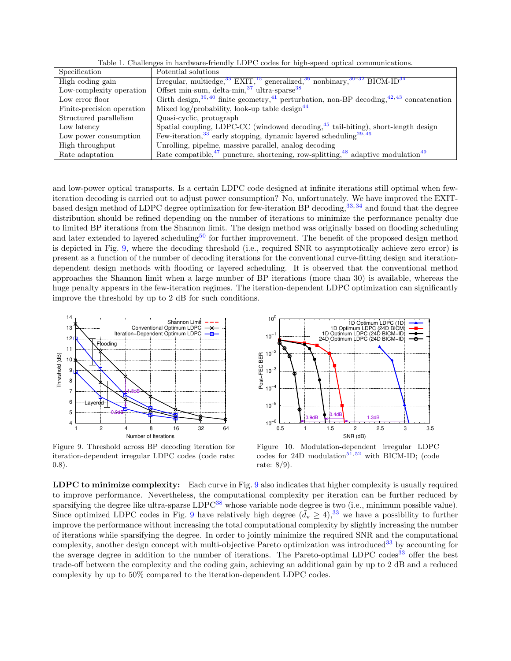Table 1. Challenges in hardware-friendly LDPC codes for high-speed optical communications.

| Specification              | Potential solutions                                                                                                           |
|----------------------------|-------------------------------------------------------------------------------------------------------------------------------|
| High coding gain           | Irregular, multiedge, $35$ EXIT, $15$ generalized, $36$ nonbinary, $30-32$ BICM-ID $34$                                       |
| Low-complexity operation   | Offset min-sum, delta-min, $37 \text{ ultra-sparse}$ $38$                                                                     |
| Low error floor            | Girth design, <sup>39, 40</sup> finite geometry, <sup>41</sup> perturbation, non-BP decoding, <sup>42, 43</sup> concatenation |
| Finite-precision operation | Mixed $\log$ /probability, look-up table design <sup>44</sup>                                                                 |
| Structured parallelism     | Quasi-cyclic, protograph                                                                                                      |
| Low latency                | Spatial coupling, LDPC-CC (windowed decoding, 45 tail-biting), short-length design                                            |
| Low power consumption      | Few-iteration, $33$ early stopping, dynamic layered scheduling $29,46$                                                        |
| High throughput            | Unrolling, pipeline, massive parallel, analog decoding                                                                        |
| Rate adaptation            | Rate compatible, $47$ puncture, shortening, row-splitting, $48$ adaptive modulation $49$                                      |

and low-power optical transports. Is a certain LDPC code designed at infinite iterations still optimal when fewiteration decoding is carried out to adjust power consumption? No, unfortunately. We have improved the EXITbased design method of LDPC degree optimization for few-iteration BP decoding,<sup>33,34</sup> and found that the degree distribution should be refined depending on the number of iterations to minimize the performance penalty due to limited BP iterations from the Shannon limit. The design method was originally based on flooding scheduling and later extended to layered scheduling<sup>50</sup> for further improvement. The benefit of the proposed design method is depicted in Fig. 9, where the decoding threshold (i.e., required SNR to asymptotically achieve zero error) is present as a function of the number of decoding iterations for the conventional curve-fitting design and iterationdependent design methods with flooding or layered scheduling. It is observed that the conventional method approaches the Shannon limit when a large number of BP iterations (more than 30) is available, whereas the huge penalty appears in the few-iteration regimes. The iteration-dependent LDPC optimization can significantly improve the threshold by up to 2 dB for such conditions.



Figure 9. Threshold across BP decoding iteration for iteration-dependent irregular LDPC codes (code rate: 0.8).



Figure 10. Modulation-dependent irregular LDPC codes for 24D modulation<sup>51, 52</sup> with BICM-ID; (code rate: 8/9).

LDPC to minimize complexity: Each curve in Fig. 9 also indicates that higher complexity is usually required to improve performance. Nevertheless, the computational complexity per iteration can be further reduced by sparsifying the degree like ultra-sparse LDPC<sup>38</sup> whose variable node degree is two (i.e., minimum possible value). Since optimized LDPC codes in Fig. 9 have relatively high degree  $({\bar d}_{\rm v} \ge 4)^{33}$  we have a possibility to further improve the performance without increasing the total computational complexity by slightly increasing the number of iterations while sparsifying the degree. In order to jointly minimize the required SNR and the computational complexity, another design concept with multi-objective Pareto optimization was introduced<sup>33</sup> by accounting for the average degree in addition to the number of iterations. The Pareto-optimal LDPC codes<sup>33</sup> offer the best trade-off between the complexity and the coding gain, achieving an additional gain by up to 2 dB and a reduced complexity by up to 50% compared to the iteration-dependent LDPC codes.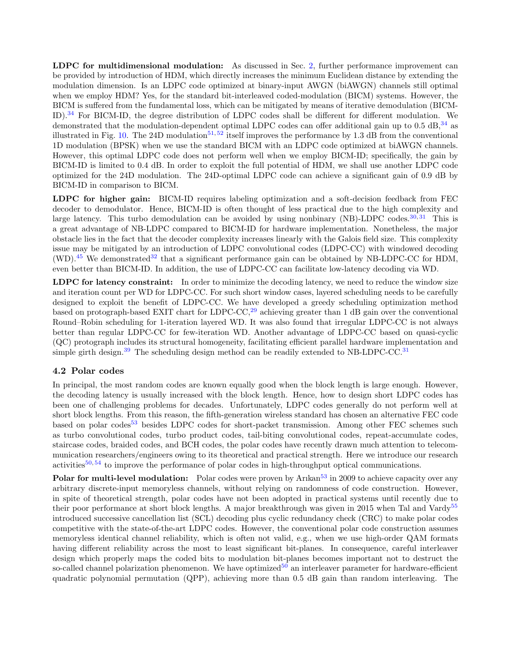LDPC for multidimensional modulation: As discussed in Sec. 2, further performance improvement can be provided by introduction of HDM, which directly increases the minimum Euclidean distance by extending the modulation dimension. Is an LDPC code optimized at binary-input AWGN (biAWGN) channels still optimal when we employ HDM? Yes, for the standard bit-interleaved coded-modulation (BICM) systems. However, the BICM is suffered from the fundamental loss, which can be mitigated by means of iterative demodulation (BICM-ID).<sup>34</sup> For BICM-ID, the degree distribution of LDPC codes shall be different for different modulation. We demonstrated that the modulation-dependent optimal LDPC codes can offer additional gain up to 0.5 dB,  $34$  as illustrated in Fig. 10. The 24D modulation<sup>51,52</sup> itself improves the performance by 1.3 dB from the conventional 1D modulation (BPSK) when we use the standard BICM with an LDPC code optimized at biAWGN channels. However, this optimal LDPC code does not perform well when we employ BICM-ID; specifically, the gain by BICM-ID is limited to 0.4 dB. In order to exploit the full potential of HDM, we shall use another LDPC code optimized for the 24D modulation. The 24D-optimal LDPC code can achieve a significant gain of 0.9 dB by BICM-ID in comparison to BICM.

LDPC for higher gain: BICM-ID requires labeling optimization and a soft-decision feedback from FEC decoder to demodulator. Hence, BICM-ID is often thought of less practical due to the high complexity and large latency. This turbo demodulation can be avoided by using nonbinary (NB)-LDPC codes.<sup>30, 31</sup> This is a great advantage of NB-LDPC compared to BICM-ID for hardware implementation. Nonetheless, the major obstacle lies in the fact that the decoder complexity increases linearly with the Galois field size. This complexity issue may be mitigated by an introduction of LDPC convolutional codes (LDPC-CC) with windowed decoding  $(WD)$ .<sup>45</sup> We demonstrated<sup>32</sup> that a significant performance gain can be obtained by NB-LDPC-CC for HDM, even better than BICM-ID. In addition, the use of LDPC-CC can facilitate low-latency decoding via WD.

LDPC for latency constraint: In order to minimize the decoding latency, we need to reduce the window size and iteration count per WD for LDPC-CC. For such short window cases, layered scheduling needs to be carefully designed to exploit the benefit of LDPC-CC. We have developed a greedy scheduling optimization method based on protograph-based EXIT chart for LDPC-CC,<sup>29</sup> achieving greater than 1 dB gain over the conventional Round–Robin scheduling for 1-iteration layered WD. It was also found that irregular LDPC-CC is not always better than regular LDPC-CC for few-iteration WD. Another advantage of LDPC-CC based on quasi-cyclic (QC) protograph includes its structural homogeneity, facilitating efficient parallel hardware implementation and simple girth design.<sup>39</sup> The scheduling design method can be readily extended to NB-LDPC-CC.<sup>31</sup>

## 4.2 Polar codes

In principal, the most random codes are known equally good when the block length is large enough. However, the decoding latency is usually increased with the block length. Hence, how to design short LDPC codes has been one of challenging problems for decades. Unfortunately, LDPC codes generally do not perform well at short block lengths. From this reason, the fifth-generation wireless standard has chosen an alternative FEC code based on polar codes<sup>53</sup> besides LDPC codes for short-packet transmission. Among other FEC schemes such as turbo convolutional codes, turbo product codes, tail-biting convolutional codes, repeat-accumulate codes, staircase codes, braided codes, and BCH codes, the polar codes have recently drawn much attention to telecommunication researchers/engineers owing to its theoretical and practical strength. Here we introduce our research activities<sup>50, 54</sup> to improve the performance of polar codes in high-throughput optical communications.

Polar for multi-level modulation: Polar codes were proven by Arıkan<sup>53</sup> in 2009 to achieve capacity over any arbitrary discrete-input memoryless channels, without relying on randomness of code construction. However, in spite of theoretical strength, polar codes have not been adopted in practical systems until recently due to their poor performance at short block lengths. A major breakthrough was given in 2015 when Tal and Vardy<sup>55</sup> introduced successive cancellation list (SCL) decoding plus cyclic redundancy check (CRC) to make polar codes competitive with the state-of-the-art LDPC codes. However, the conventional polar code construction assumes memoryless identical channel reliability, which is often not valid, e.g., when we use high-order QAM formats having different reliability across the most to least significant bit-planes. In consequence, careful interleaver design which properly maps the coded bits to modulation bit-planes becomes important not to destruct the so-called channel polarization phenomenon. We have optimized<sup>50</sup> an interleaver parameter for hardware-efficient quadratic polynomial permutation (QPP), achieving more than 0.5 dB gain than random interleaving. The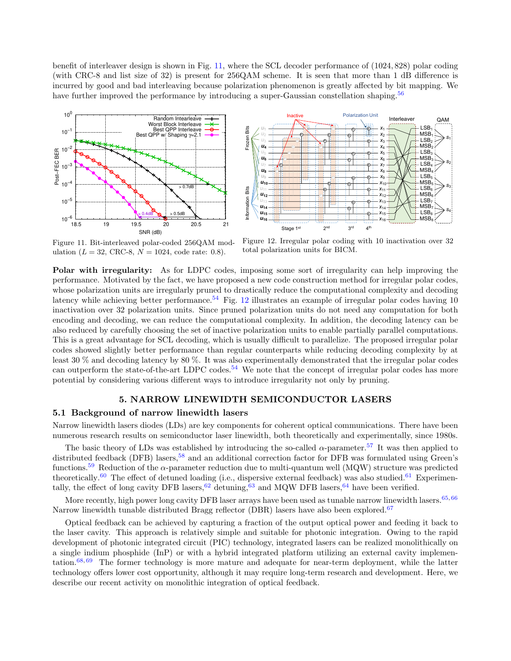benefit of interleaver design is shown in Fig. 11, where the SCL decoder performance of (1024, 828) polar coding (with CRC-8 and list size of 32) is present for 256QAM scheme. It is seen that more than 1 dB difference is incurred by good and bad interleaving because polarization phenomenon is greatly affected by bit mapping. We have further improved the performance by introducing a super-Gaussian constellation shaping.<sup>56</sup>





Figure 11. Bit-interleaved polar-coded 256QAM modulation ( $L = 32$ , CRC-8,  $N = 1024$ , code rate: 0.8).

Figure 12. Irregular polar coding with 10 inactivation over 32 total polarization units for BICM.

Polar with irregularity: As for LDPC codes, imposing some sort of irregularity can help improving the performance. Motivated by the fact, we have proposed a new code construction method for irregular polar codes, whose polarization units are irregularly pruned to drastically reduce the computational complexity and decoding latency while achieving better performance.<sup>54</sup> Fig. 12 illustrates an example of irregular polar codes having 10 inactivation over 32 polarization units. Since pruned polarization units do not need any computation for both encoding and decoding, we can reduce the computational complexity. In addition, the decoding latency can be also reduced by carefully choosing the set of inactive polarization units to enable partially parallel computations. This is a great advantage for SCL decoding, which is usually difficult to parallelize. The proposed irregular polar codes showed slightly better performance than regular counterparts while reducing decoding complexity by at least 30 % and decoding latency by 80 %. It was also experimentally demonstrated that the irregular polar codes can outperform the state-of-the-art LDPC codes.<sup>54</sup> We note that the concept of irregular polar codes has more potential by considering various different ways to introduce irregularity not only by pruning.

## 5. NARROW LINEWIDTH SEMICONDUCTOR LASERS

## 5.1 Background of narrow linewidth lasers

Narrow linewidth lasers diodes (LDs) are key components for coherent optical communications. There have been numerous research results on semiconductor laser linewidth, both theoretically and experimentally, since 1980s.

The basic theory of LDs was established by introducing the so-called  $\alpha$ -parameter.<sup>57</sup> It was then applied to distributed feedback (DFB) lasers,<sup>58</sup> and an additional correction factor for DFB was formulated using Green's functions.<sup>59</sup> Reduction of the  $\alpha$ -parameter reduction due to multi-quantum well (MQW) structure was predicted theoretically.<sup>60</sup> The effect of detuned loading (i.e., dispersive external feedback) was also studied.<sup>61</sup> Experimentally, the effect of long cavity DFB lasers,  $62$  detuning,  $63$  and MQW DFB lasers,  $64$  have been verified.

More recently, high power long cavity DFB laser arrays have been used as tunable narrow linewidth lasers.<sup>65, 66</sup> Narrow linewidth tunable distributed Bragg reflector (DBR) lasers have also been explored.<sup>67</sup>

Optical feedback can be achieved by capturing a fraction of the output optical power and feeding it back to the laser cavity. This approach is relatively simple and suitable for photonic integration. Owing to the rapid development of photonic integrated circuit (PIC) technology, integrated lasers can be realized monolithically on a single indium phosphide (InP) or with a hybrid integrated platform utilizing an external cavity implementation. $68,69$  The former technology is more mature and adequate for near-term deployment, while the latter technology offers lower cost opportunity, although it may require long-term research and development. Here, we describe our recent activity on monolithic integration of optical feedback.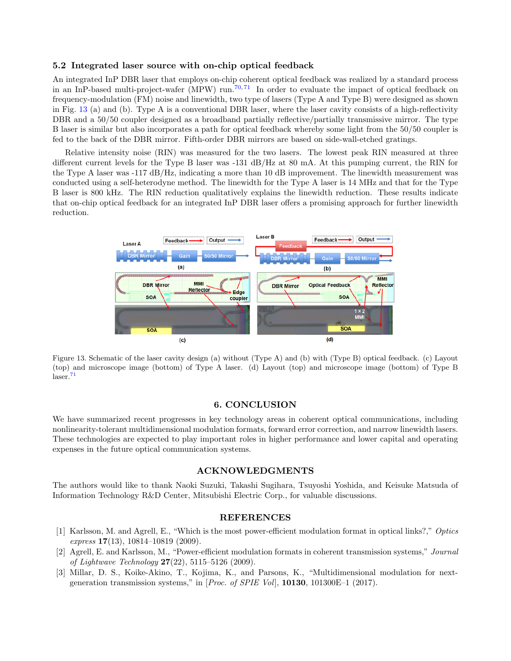#### 5.2 Integrated laser source with on-chip optical feedback

An integrated InP DBR laser that employs on-chip coherent optical feedback was realized by a standard process in an InP-based multi-project-wafer (MPW) run.<sup>70,71</sup> In order to evaluate the impact of optical feedback on frequency-modulation (FM) noise and linewidth, two type of lasers (Type A and Type B) were designed as shown in Fig. 13 (a) and (b). Type A is a conventional DBR laser, where the laser cavity consists of a high-reflectivity DBR and a 50/50 coupler designed as a broadband partially reflective/partially transmissive mirror. The type B laser is similar but also incorporates a path for optical feedback whereby some light from the 50/50 coupler is fed to the back of the DBR mirror. Fifth-order DBR mirrors are based on side-wall-etched gratings.

Relative intensity noise (RIN) was measured for the two lasers. The lowest peak RIN measured at three different current levels for the Type B laser was -131 dB/Hz at 80 mA. At this pumping current, the RIN for the Type A laser was -117 dB/Hz, indicating a more than 10 dB improvement. The linewidth measurement was conducted using a self-heterodyne method. The linewidth for the Type A laser is 14 MHz and that for the Type B laser is 800 kHz. The RIN reduction qualitatively explains the linewidth reduction. These results indicate that on-chip optical feedback for an integrated InP DBR laser offers a promising approach for further linewidth reduction.



Figure 13. Schematic of the laser cavity design (a) without (Type A) and (b) with (Type B) optical feedback. (c) Layout (top) and microscope image (bottom) of Type A laser. (d) Layout (top) and microscope image (bottom) of Type B  $laser.<sup>71</sup>$ 

## 6. CONCLUSION

We have summarized recent progresses in key technology areas in coherent optical communications, including nonlinearity-tolerant multidimensional modulation formats, forward error correction, and narrow linewidth lasers. These technologies are expected to play important roles in higher performance and lower capital and operating expenses in the future optical communication systems.

#### ACKNOWLEDGMENTS

The authors would like to thank Naoki Suzuki, Takashi Sugihara, Tsuyoshi Yoshida, and Keisuke Matsuda of Information Technology R&D Center, Mitsubishi Electric Corp., for valuable discussions.

#### REFERENCES

- [1] Karlsson, M. and Agrell, E., "Which is the most power-efficient modulation format in optical links?," Optics express  $17(13)$ , 10814-10819 (2009).
- [2] Agrell, E. and Karlsson, M., "Power-efficient modulation formats in coherent transmission systems," Journal of Lightwave Technology  $27(22)$ , 5115–5126 (2009).
- [3] Millar, D. S., Koike-Akino, T., Kojima, K., and Parsons, K., "Multidimensional modulation for nextgeneration transmission systems," in [Proc. of SPIE Vol], 10130, 101300E–1 (2017).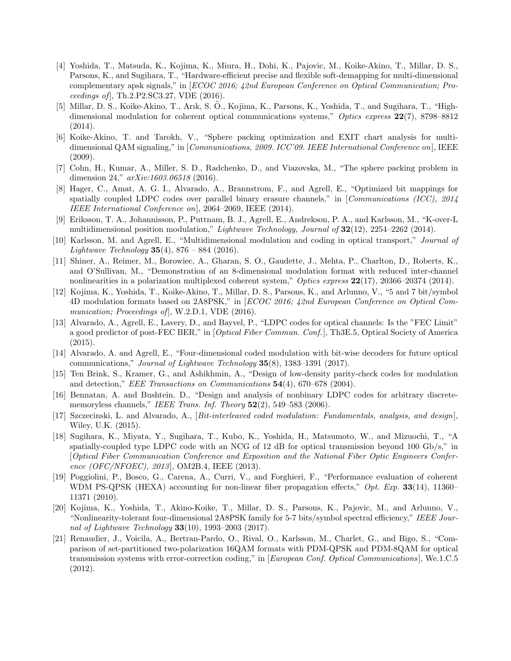- [4] Yoshida, T., Matsuda, K., Kojima, K., Miura, H., Dohi, K., Pajovic, M., Koike-Akino, T., Millar, D. S., Parsons, K., and Sugihara, T., "Hardware-efficient precise and flexible soft-demapping for multi-dimensional complementary apsk signals," in [ECOC 2016; 42nd European Conference on Optical Communication; Proceedings of], Th.2.P2.SC3.27, VDE (2016).
- [5] Millar, D. S., Koike-Akino, T., Arık, S. O., Kojima, K., Parsons, K., Yoshida, T., and Sugihara, T., "High- ¨ dimensional modulation for coherent optical communications systems," Optics express  $22(7)$ , 8798–8812 (2014).
- [6] Koike-Akino, T. and Tarokh, V., "Sphere packing optimization and EXIT chart analysis for multidimensional QAM signaling," in [Communications, 2009. ICC'09. IEEE International Conference on], IEEE (2009).
- [7] Cohn, H., Kumar, A., Miller, S. D., Radchenko, D., and Viazovska, M., "The sphere packing problem in dimension 24,"  $arXiv:1603.06518$  (2016).
- [8] Hager, C., Amat, A. G. I., Alvarado, A., Brannstrom, F., and Agrell, E., "Optimized bit mappings for spatially coupled LDPC codes over parallel binary erasure channels," in [Communications (ICC),  $2014$ IEEE International Conference on], 2064–2069, IEEE (2014).
- [9] Eriksson, T. A., Johannisson, P., Puttnam, B. J., Agrell, E., Andrekson, P. A., and Karlsson, M., "K-over-L multidimensional position modulation," *Lightwave Technology, Journal of*  $32(12)$ ,  $2254-2262$  (2014).
- [10] Karlsson, M. and Agrell, E., "Multidimensional modulation and coding in optical transport," Journal of *Lightwave Technology* **35**(4), 876 – 884 (2016).
- [11] Shiner, A., Reimer, M., Borowiec, A., Gharan, S. O., Gaudette, J., Mehta, P., Charlton, D., Roberts, K., and O'Sullivan, M., "Demonstration of an 8-dimensional modulation format with reduced inter-channel nonlinearities in a polarization multiplexed coherent system," Optics express  $22(17)$ , 20366–20374 (2014).
- [12] Kojima, K., Yoshida, T., Koike-Akino, T., Millar, D. S., Parsons, K., and Arlunno, V., "5 and 7 bit/symbol 4D modulation formats based on 2A8PSK," in [ECOC 2016; 42nd European Conference on Optical Communication; Proceedings of, W.2.D.1, VDE (2016).
- [13] Alvarado, A., Agrell, E., Lavery, D., and Bayvel, P., "LDPC codes for optical channels: Is the "FEC Limit" a good predictor of post-FEC BER," in [Optical Fiber Commun. Conf.], Th3E.5, Optical Society of America (2015).
- [14] Alvarado, A. and Agrell, E., "Four-dimensional coded modulation with bit-wise decoders for future optical communications," Journal of Lightwave Technology  $35(8)$ , 1383–1391 (2017).
- [15] Ten Brink, S., Kramer, G., and Ashikhmin, A., "Design of low-density parity-check codes for modulation and detection," EEE Transactions on Communications 54(4), 670–678 (2004).
- [16] Bennatan, A. and Bushtein, D., "Design and analysis of nonbinary LDPC codes for arbitrary discretememoryless channels," IEEE Trans. Inf. Theory  $52(2)$ , 549–583 (2006).
- [17] Szczecinski, L. and Alvarado, A., [Bit-interleaved coded modulation: Fundamentals, analysis, and design], Wiley, U.K. (2015).
- [18] Sugihara, K., Miyata, Y., Sugihara, T., Kubo, K., Yoshida, H., Matsumoto, W., and Mizuochi, T., "A spatially-coupled type LDPC code with an NCG of 12 dB for optical transmission beyond 100 Gb/s," in [Optical Fiber Communication Conference and Exposition and the National Fiber Optic Engineers Conference (OFC/NFOEC), 2013], OM2B.4, IEEE (2013).
- [19] Poggiolini, P., Bosco, G., Carena, A., Curri, V., and Forghieri, F., "Performance evaluation of coherent WDM PS-QPSK (HEXA) accounting for non-linear fiber propagation effects," Opt. Exp. 33(14), 11360– 11371 (2010).
- [20] Kojima, K., Yoshida, T., Akino-Koike, T., Millar, D. S., Parsons, K., Pajovic, M., and Arlunno, V., "Nonlinearity-tolerant four-dimensional 2A8PSK family for 5-7 bits/symbol spectral efficiency," IEEE Journal of Lightwave Technology  $33(10)$ , 1993–2003 (2017).
- [21] Renaudier, J., Voicila, A., Bertran-Pardo, O., Rival, O., Karlsson, M., Charlet, G., and Bigo, S., "Comparison of set-partitioned two-polarization 16QAM formats with PDM-QPSK and PDM-8QAM for optical transmission systems with error-correction coding," in [European Conf. Optical Communications], We.1.C.5 (2012).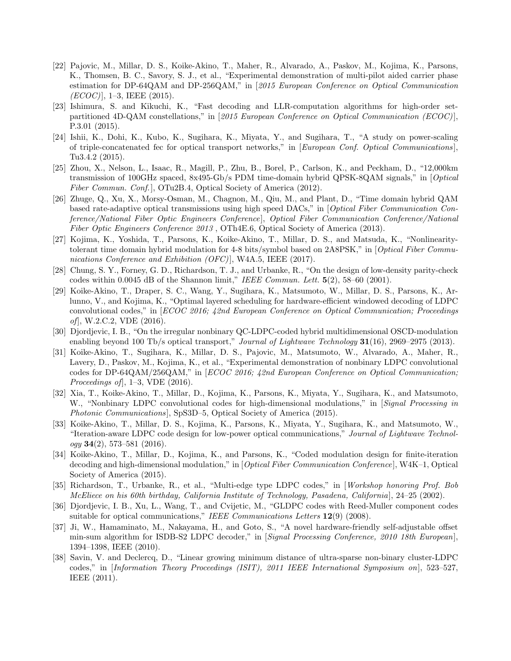- [22] Pajovic, M., Millar, D. S., Koike-Akino, T., Maher, R., Alvarado, A., Paskov, M., Kojima, K., Parsons, K., Thomsen, B. C., Savory, S. J., et al., "Experimental demonstration of multi-pilot aided carrier phase estimation for DP-64QAM and DP-256QAM," in [2015 European Conference on Optical Communication  $(ECOC)$ ], 1–3, IEEE (2015).
- [23] Ishimura, S. and Kikuchi, K., "Fast decoding and LLR-computation algorithms for high-order setpartitioned 4D-QAM constellations," in [2015 European Conference on Optical Communication (ECOC)]. P.3.01 (2015).
- [24] Ishii, K., Dohi, K., Kubo, K., Sugihara, K., Miyata, Y., and Sugihara, T., "A study on power-scaling of triple-concatenated fec for optical transport networks," in [European Conf. Optical Communications ], Tu3.4.2 (2015).
- [25] Zhou, X., Nelson, L., Isaac, R., Magill, P., Zhu, B., Borel, P., Carlson, K., and Peckham, D., "12,000km transmission of 100GHz spaced, 8x495-Gb/s PDM time-domain hybrid QPSK-8QAM signals," in [Optical Fiber Commun. Conf.], OTu2B.4, Optical Society of America (2012).
- [26] Zhuge, Q., Xu, X., Morsy-Osman, M., Chagnon, M., Qiu, M., and Plant, D., "Time domain hybrid QAM based rate-adaptive optical transmissions using high speed DACs," in [Optical Fiber Communication Conference/National Fiber Optic Engineers Conference], Optical Fiber Communication Conference/National Fiber Optic Engineers Conference 2013, OTh4E.6, Optical Society of America (2013).
- [27] Kojima, K., Yoshida, T., Parsons, K., Koike-Akino, T., Millar, D. S., and Matsuda, K., "Nonlinearitytolerant time domain hybrid modulation for 4-8 bits/symbol based on 2A8PSK," in [Optical Fiber Communications Conference and Exhibition  $(OFC)$ , W4A.5, IEEE (2017).
- [28] Chung, S. Y., Forney, G. D., Richardson, T. J., and Urbanke, R., "On the design of low-density parity-check codes within 0.0045 dB of the Shannon limit," IEEE Commun. Lett.  $5(2)$ , 58–60 (2001).
- [29] Koike-Akino, T., Draper, S. C., Wang, Y., Sugihara, K., Matsumoto, W., Millar, D. S., Parsons, K., Arlunno, V., and Kojima, K., "Optimal layered scheduling for hardware-efficient windowed decoding of LDPC convolutional codes," in [ECOC 2016; 42nd European Conference on Optical Communication; Proceedings of], W.2.C.2, VDE (2016).
- [30] Djordjevic, I. B., "On the irregular nonbinary QC-LDPC-coded hybrid multidimensional OSCD-modulation enabling beyond 100 Tb/s optical transport," Journal of Lightwave Technology 31(16), 2969–2975 (2013).
- [31] Koike-Akino, T., Sugihara, K., Millar, D. S., Pajovic, M., Matsumoto, W., Alvarado, A., Maher, R., Lavery, D., Paskov, M., Kojima, K., et al., "Experimental demonstration of nonbinary LDPC convolutional codes for DP-64QAM/256QAM," in [ECOC 2016; 42nd European Conference on Optical Communication; *Proceedings of*,  $1-3$ , VDE  $(2016)$ .
- [32] Xia, T., Koike-Akino, T., Millar, D., Kojima, K., Parsons, K., Miyata, Y., Sugihara, K., and Matsumoto, W., "Nonbinary LDPC convolutional codes for high-dimensional modulations," in [Signal Processing in Photonic Communications, SpS3D–5, Optical Society of America (2015).
- [33] Koike-Akino, T., Millar, D. S., Kojima, K., Parsons, K., Miyata, Y., Sugihara, K., and Matsumoto, W., "Iteration-aware LDPC code design for low-power optical communications," Journal of Lightwave Technol $ogy 34(2), 573-581 (2016).$
- [34] Koike-Akino, T., Millar, D., Kojima, K., and Parsons, K., "Coded modulation design for finite-iteration decoding and high-dimensional modulation," in [Optical Fiber Communication Conference], W4K–1, Optical Society of America (2015).
- [35] Richardson, T., Urbanke, R., et al., "Multi-edge type LDPC codes," in [Workshop honoring Prof. Bob McEliece on his 60th birthday, California Institute of Technology, Pasadena, California], 24–25 (2002).
- [36] Djordjevic, I. B., Xu, L., Wang, T., and Cvijetic, M., "GLDPC codes with Reed-Muller component codes suitable for optical communications," IEEE Communications Letters 12(9) (2008).
- [37] Ji, W., Hamaminato, M., Nakayama, H., and Goto, S., "A novel hardware-friendly self-adjustable offset min-sum algorithm for ISDB-S2 LDPC decoder," in [Signal Processing Conference, 2010 18th European], 1394–1398, IEEE (2010).
- [38] Savin, V. and Declercq, D., "Linear growing minimum distance of ultra-sparse non-binary cluster-LDPC codes," in [Information Theory Proceedings (ISIT), 2011 IEEE International Symposium on], 523–527, IEEE (2011).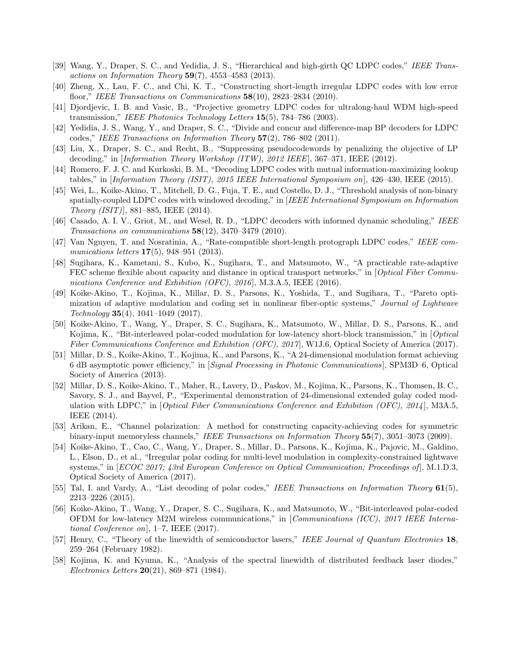- [39] Wang, Y., Draper, S. C., and Yedidia, J. S., "Hierarchical and high-girth QC LDPC codes," IEEE Transactions on Information Theory 59(7), 4553-4583 (2013).
- [40] Zheng, X., Lau, F. C., and Chi, K. T., "Constructing short-length irregular LDPC codes with low error floor," IEEE Transactions on Communications 58(10), 2823–2834 (2010).
- [41] Djordjevic, I. B. and Vasic, B., "Projective geometry LDPC codes for ultralong-haul WDM high-speed transmission," IEEE Photonics Technology Letters  $15(5)$ , 784–786 (2003).
- [42] Yedidia, J. S., Wang, Y., and Draper, S. C., "Divide and concur and difference-map BP decoders for LDPC codes," IEEE Transactions on Information Theory  $57(2)$ , 786–802 (2011).
- [43] Liu, X., Draper, S. C., and Recht, B., "Suppressing pseudocodewords by penalizing the objective of LP decoding," in [Information Theory Workshop (ITW), 2012 IEEE], 367–371, IEEE (2012).
- [44] Romero, F. J. C. and Kurkoski, B. M., "Decoding LDPC codes with mutual information-maximizing lookup tables," in [Information Theory (ISIT), 2015 IEEE International Symposium on], 426–430, IEEE (2015).
- [45] Wei, L., Koike-Akino, T., Mitchell, D. G., Fuja, T. E., and Costello, D. J., "Threshold analysis of non-binary spatially-coupled LDPC codes with windowed decoding," in [IEEE International Symposium on Information Theory (ISIT)], 881–885, IEEE (2014).
- [46] Casado, A. I. V., Griot, M., and Wesel, R. D., "LDPC decoders with informed dynamic scheduling," IEEE Transactions on communications 58(12), 3470–3479 (2010).
- [47] Van Nguyen, T. and Nosratinia, A., "Rate-compatible short-length protograph LDPC codes," IEEE communications letters **17**(5), 948–951 (2013).
- [48] Sugihara, K., Kametani, S., Kubo, K., Sugihara, T., and Matsumoto, W., "A practicable rate-adaptive FEC scheme flexible about capacity and distance in optical transport networks," in [Optical Fiber Communications Conference and Exhibition (OFC), 2016, M.3.A.5, IEEE (2016).
- [49] Koike-Akino, T., Kojima, K., Millar, D. S., Parsons, K., Yoshida, T., and Sugihara, T., "Pareto optimization of adaptive modulation and coding set in nonlinear fiber-optic systems," Journal of Lightwave Technology 35(4), 1041–1049 (2017).
- [50] Koike-Akino, T., Wang, Y., Draper, S. C., Sugihara, K., Matsumoto, W., Millar, D. S., Parsons, K., and Kojima, K., "Bit-interleaved polar-coded modulation for low-latency short-block transmission," in [*Optical* Fiber Communications Conference and Exhibition (OFC), 2017], W1J.6, Optical Society of America (2017).
- [51] Millar, D. S., Koike-Akino, T., Kojima, K., and Parsons, K., "A 24-dimensional modulation format achieving 6 dB asymptotic power efficiency," in [Signal Processing in Photonic Communications ], SPM3D–6, Optical Society of America (2013).
- [52] Millar, D. S., Koike-Akino, T., Maher, R., Lavery, D., Paskov, M., Kojima, K., Parsons, K., Thomsen, B. C., Savory, S. J., and Bayvel, P., "Experimental demonstration of 24-dimensional extended golay coded modulation with LDPC," in  $[Optical Fiber \, Communications\; Conference\ and\ Exhibit\; (OFC),\,2014]$ , M3A.5, IEEE (2014).
- [53] Arikan, E., "Channel polarization: A method for constructing capacity-achieving codes for symmetric binary-input memoryless channels," IEEE Transactions on Information Theory 55(7), 3051-3073 (2009).
- [54] Koike-Akino, T., Cao, C., Wang, Y., Draper, S., Millar, D., Parsons, K., Kojima, K., Pajovic, M., Galdino, L., Elson, D., et al., "Irregular polar coding for multi-level modulation in complexity-constrained lightwave systems," in [ECOC 2017; 43rd European Conference on Optical Communication; Proceedings of], M.1.D.3, Optical Society of America (2017).
- [55] Tal, I. and Vardy, A., "List decoding of polar codes," IEEE Transactions on Information Theory 61(5), 2213–2226 (2015).
- [56] Koike-Akino, T., Wang, Y., Draper, S. C., Sugihara, K., and Matsumoto, W., "Bit-interleaved polar-coded OFDM for low-latency M2M wireless communications," in [Communications (ICC), 2017 IEEE International Conference on], 1–7, IEEE (2017).
- [57] Henry, C., "Theory of the linewidth of semiconductor lasers," IEEE Journal of Quantum Electronics 18, 259–264 (February 1982).
- [58] Kojima, K. and Kyuma, K., "Analysis of the spectral linewidth of distributed feedback laser diodes," *Electronics Letters*  $20(21)$ , 869–871 (1984).